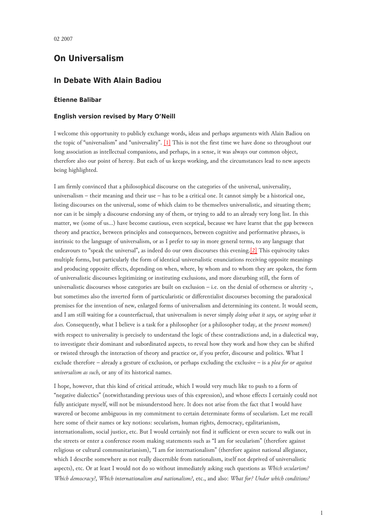## **On Universalism**

## **In Debate With Alain Badiou**

## **Étienne Balibar**

## **English version revised by Mary O'Neill**

<span id="page-0-0"></span>I welcome this opportunity to publicly exchange words, ideas and perhaps arguments with Alain Badiou on the topic of "universalism" and "universality". [\[1\]](#page-5-0) This is not the first time we have done so throughout our long association as intellectual companions, and perhaps, in a sense, it was always our common object, therefore also our point of heresy. But each of us keeps working, and the circumstances lead to new aspects being highlighted.

<span id="page-0-1"></span>I am firmly convinced that a philosophical discourse on the categories of the universal, universality, universalism – their meaning and their use – has to be a critical one. It cannot simply be a historical one, listing discourses on the universal, some of which claim to be themselves universalistic, and situating them; nor can it be simply a discourse endorsing any of them, or trying to add to an already very long list. In this matter, we (some of us…) have become cautious, even sceptical, because we have learnt that the gap between theory and practice, between principles and consequences, between cognitive and performative phrases, is intrinsic to the language of universalism, or as I prefer to say in more general terms, to any language that endeavours to "speak the universal", as indeed do our own discourses this evening.[\[2\]](#page-6-0) This equivocity takes multiple forms, but particularly the form of identical universalistic enunciations receiving opposite meanings and producing opposite effects, depending on when, where, by whom and to whom they are spoken, the form of universalistic discourses legitimizing or instituting exclusions, and more disturbing still, the form of universalistic discourses whose categories are built on exclusion – i.e. on the denial of otherness or alterity -, but sometimes also the inverted form of particularistic or differentialist discourses becoming the paradoxical premises for the invention of new, enlarged forms of universalism and determining its content. It would seem, and I am still waiting for a counterfactual, that universalism is never simply *doing what it says,* or *saying what it does.* Consequently, what I believe is a task for a philosopher (or a philosopher today, at the *present moment*) with respect to universality is precisely to understand the logic of these contradictions and, in a dialectical way, to investigate their dominant and subordinated aspects, to reveal how they work and how they can be shifted or twisted through the interaction of theory and practice or, if you prefer, discourse and politics. What I exclude therefore – already a gesture of exclusion, or perhaps excluding the exclusive – is a *plea for or against universalism as such*, or any of its historical names.

I hope, however, that this kind of critical attitude, which I would very much like to push to a form of "negative dialectics" (notwithstanding previous uses of this expression), and whose effects I certainly could not fully anticipate myself, will not be misunderstood here. It does not arise from the fact that I would have wavered or become ambiguous in my commitment to certain determinate forms of secularism. Let me recall here some of their names or key notions: secularism, human rights, democracy, egalitarianism, internationalism, social justice, etc. But I would certainly not find it sufficient or even secure to walk out in the streets or enter a conference room making statements such as "I am for secularism" (therefore against religious or cultural communitarianism), "I am for internationalism" (therefore against national allegiance, which I describe somewhere as not really discernible from nationalism, itself not deprived of universalistic aspects), etc. Or at least I would not do so without immediately asking such questions as *Which secularism? Which democracy?*, *Which internationalism and nationalism?*, etc., and also: *What for? Under which conditions?*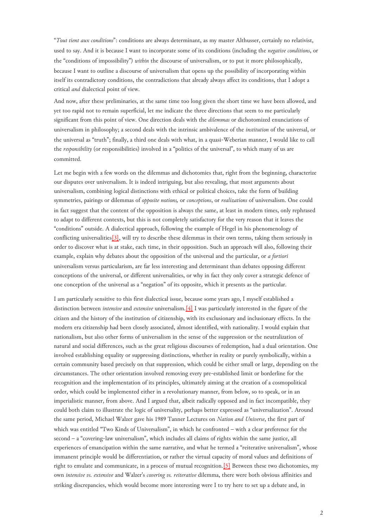"*Tout tient aux conditions*": conditions are always determinant, as my master Althusser, certainly no relativist, used to say. And it is because I want to incorporate some of its conditions (including the *negative conditions*, or the "conditions of impossibility") *within* the discourse of universalism, or to put it more philosophically, because I want to outline a discourse of universalism that opens up the possibility of incorporating within itself its contradictory conditions, the contradictions that already always affect its conditions, that I adopt a critical *and* dialectical point of view.

And now, after these preliminaries, at the same time too long given the short time we have been allowed, and yet too rapid not to remain superficial, let me indicate the three directions that seem to me particularly significant from this point of view. One direction deals with the *dilemmas* or dichotomized enunciations of universalism in philosophy; a second deals with the intrinsic ambivalence of the *institution* of the universal, or the universal as "truth"; finally, a third one deals with what, in a quasi-Weberian manner, I would like to call the *responsibility* (or responsibilities) involved in a "politics of the universal", to which many of us are committed.

<span id="page-1-0"></span>Let me begin with a few words on the dilemmas and dichotomies that, right from the beginning, characterize our disputes over universalism. It is indeed intriguing, but also revealing, that most arguments about universalism, combining logical distinctions with ethical or political choices, take the form of building symmetries, pairings or dilemmas of *opposite notions,* or *conceptions*, or *realizations* of universalism. One could in fact suggest that the content of the opposition is always the same, at least in modern times, only rephrased to adapt to different contexts, but this is not completely satisfactory for the very reason that it leaves the "conditions" outside. A dialectical approach, following the example of Hegel in his phenomenology of conflicting universalitie[s\[3\],](#page-6-1) will try to describe these dilemmas in their own terms, taking them seriously in order to discover what is at stake, each time, in their opposition. Such an approach will also, following their example, explain why debates about the opposition of the universal and the particular, or *a fortiori* universalism versus particularism, are far less interesting and determinant than debates opposing different conceptions of the universal, or different universalities, or why in fact they only cover a strategic defence of one conception of the universal as a "negation" of its opposite, which it presents as the particular.

<span id="page-1-1"></span>I am particularly sensitive to this first dialectical issue, because some years ago, I myself established a distinction between *intensive* and *extensive* universalism[.\[4\]](#page-6-2) I was particularly interested in the figure of the citizen and the history of the institution of citizenship, with its exclusionary and inclusionary effects. In the modern era citizenship had been closely associated, almost identified, with nationality. I would explain that nationalism, but also other forms of universalism in the sense of the suppression or the neutralization of natural and social differences, such as the great religious discourses of redemption, had a dual orientation. One involved establishing equality or suppressing distinctions, whether in reality or purely symbolically, within a certain community based precisely on that suppression, which could be either small or large, depending on the circumstances. The other orientation involved removing every pre-established limit or borderline for the recognition and the implementation of its principles, ultimately aiming at the creation of a cosmopolitical order, which could be implemented either in a revolutionary manner, from below, so to speak, or in an imperialistic manner, from above. And I argued that, albeit radically opposed and in fact incompatible, they could both claim to illustrate the logic of universality, perhaps better expressed as "universalization". Around the same period, Michael Walzer gave his 1989 Tanner Lectures on *Nation and Universe*, the first part of which was entitled "Two Kinds of Universalism", in which he confronted – with a clear preference for the second – a "covering-law universalism", which includes all claims of rights within the same justice, all experiences of emancipation within the same narrative, and what he termed a "reiterative universalism", whose immanent principle would be differentiation, or rather the virtual capacity of moral values and definitions of right to emulate and communicate, in a process of mutual recognition.[\[5\]](#page-6-3) Between these two dichotomies, my own *intensive vs. extensive* and Walzer's *covering vs. reiterative* dilemma, there were both obvious affinities and striking discrepancies, which would become more interesting were I to try here to set up a debate and, in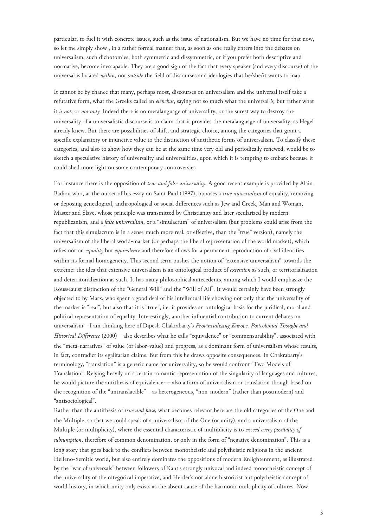particular, to fuel it with concrete issues, such as the issue of nationalism. But we have no time for that now, so let me simply show , in a rather formal manner that, as soon as one really enters into the debates on universalism, such dichotomies, both symmetric and dissymmetric, or if you prefer both descriptive and normative, become inescapable. They are a good sign of the fact that every speaker (and every discourse) of the universal is located *within*, not *outside* the field of discourses and ideologies that he/she/it wants to map.

It cannot be by chance that many, perhaps most, discourses on universalism and the universal itself take a refutative form, what the Greeks called an *elenchus*, saying not so much what the universal *is,* but rather what it *is not*, or *not only.* Indeed there is no metalanguage of universality, or the surest way to destroy the universality of a universalistic discourse is to claim that it provides the metalanguage of universality, as Hegel already knew. But there are possibilities of shift, and strategic choice, among the categories that grant a specific explanatory or injunctive value to the distinction of antithetic forms of universalism. To classify these categories, and also to show how they can be at the same time very old and periodically renewed, would be to sketch a speculative history of universality and universalities, upon which it is tempting to embark because it could shed more light on some contemporary controversies.

For instance there is the opposition of *true and false universality*. A good recent example is provided by Alain Badiou who, at the outset of his essay on Saint Paul (1997), opposes a *true universalism* of equality, removing or deposing genealogical, anthropological or social differences such as Jew and Greek, Man and Woman, Master and Slave, whose principle was transmitted by Christianity and later secularized by modern republicanism, and a *false universalism*, or a "simulacrum" of universalism (but problems could arise from the fact that this simulacrum is in a sense much more real, or effective, than the "true" version), namely the universalism of the liberal world-market (or perhaps the liberal representation of the world market), which relies not on *equality* but *equivalence* and therefore allows for a permanent reproduction of rival identities within its formal homogeneity. This second term pushes the notion of "extensive universalism" towards the extreme: the idea that extensive universalism is an ontological product of *extension* as such, or territorialization and deterritorialization as such. It has many philosophical antecedents, among which I would emphasize the Rousseauist distinction of the "General Will" and the "Will of All". It would certainly have been strongly objected to by Marx, who spent a good deal of his intellectual life showing not only that the universality of the market is "real", but also that it is "true", i.e. it provides an ontological basis for the juridical, moral and political representation of equality. Interestingly, another influential contribution to current debates on universalism – I am thinking here of Dipesh Chakrabarty's *Provincializing Europe. Postcolonial Thought and Historical Difference* (2000) – also describes what he calls "equivalence" or "commensurability", associated with the "meta-narratives" of value (or labor-value) and progress, as a dominant form of universalism whose results, in fact, contradict its egalitarian claims. But from this he draws opposite consequences. In Chakrabarty's terminology, "translation" is a generic name for universality, so he would confront "Two Models of Translation". Relying heavily on a certain romantic representation of the singularity of languages and cultures, he would picture the antithesis of equivalence- – also a form of universalism or translation though based on the recognition of the "untranslatable" – as heterogeneous, "non-modern" (rather than postmodern) and "antisociological".

<span id="page-2-0"></span>Rather than the antithesis of *true and false*, what becomes relevant here are the old categories of the One and the Multiple, so that we could speak of a universalism of the One (or unity), and a universalism of the Multiple (or multiplicity), where the essential characteristic of multiplicity is to *exceed every possibility of subsumption*, therefore of common denomination, or only in the form of "negative denomination". This is a long story that goes back to the conflicts between monotheistic and polytheistic religions in the ancient Helleno-Semitic world, but also entirely dominates the oppositions of modern Enlightenment, as illustrated by the "war of universals" between followers of Kant's strongly univocal and indeed monotheistic concept of the universality of the categorical imperative, and Herder's not alone historicist but polytheistic concept of world history, in which unity only exists as the absent cause of the harmonic multiplicity of cultures. Now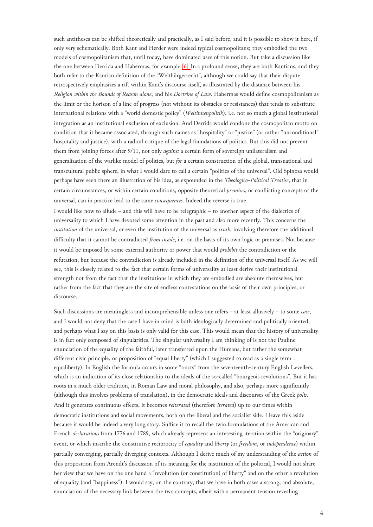such antitheses can be shifted theoretically and practically, as I said before, and it is possible to show it here, if only very schematically. Both Kant and Herder were indeed typical cosmopolitans; they embodied the two models of cosmopolitanism that, until today, have dominated uses of this notion. But take a discussion like the one between Derrida and Habermas, for example.[\[6\]](#page-6-4) In a profound sense, they are both Kantians, and they both refer to the Kantian definition of the "Weltbürgerrecht", although we could say that their dispute retrospectively emphasizes a rift within Kant's discourse itself, as illustrated by the distance between his *Religion within the Bounds of Reason alone*, and his *Doctrine of Law*. Habermas would define cosmopolitanism as the limit or the horizon of a line of progress (not without its obstacles or resistances) that tends to substitute international relations with a "world domestic policy" (*Weltinnenpolitik*), i.e. not so much a global institutional integration as an institutional exclusion of exclusion. And Derrida would condone the cosmopolitan motto on condition that it became associated, through such names as "hospitality" or "justice" (or rather "unconditional" hospitality and justice), with a radical critique of the legal foundations of politics. But this did not prevent them from joining forces after 9/11, not only *against* a certain form of sovereign unilateralism and generalization of the warlike model of politics, but *for* a certain construction of the global, transnational and transcultural public sphere, in what I would dare to call a certain "politics of the universal". Old Spinoza would perhaps have seen there an illustration of his idea, as expounded in the *Theologico-Political Treatise*, that in certain circumstances, or within certain conditions, opposite theoretical *premises*, or conflicting concepts of the universal, can in practice lead to the same *consequences*. Indeed the reverse is true.

I would like now to allude – and this will have to be telegraphic – to another aspect of the dialectics of universality to which I have devoted some attention in the past and also more recently. This concerns the *institution* of the universal, or even the institution of the universal as *truth*, involving therefore the additional difficulty that it cannot be contradicted *from inside*, i.e. on the basis of its own logic or premises. Not because it would be imposed by some external authority or power that would *prohibit* the contradiction or the refutation, but because the contradiction is already included in the definition of the universal itself. As we will see, this is closely related to the fact that certain forms of universality at least derive their institutional strength not from the fact that the institutions in which they are embodied are absolute themselves, but rather from the fact that they are the site of endless contestations on the basis of their own principles, or discourse.

Such discussions are meaningless and incomprehensible unless one refers – at least allusively – to some *case*, and I would not deny that the case I have in mind is both ideologically determined and politically oriented, and perhaps what I say on this basis is only valid for this case. This would mean that the history of universality is in fact only composed of singularities. The singular universality I am thinking of is not the Pauline enunciation of the equality of the faithful, later transferred upon the Humans, but rather the somewhat different civic principle, or proposition of "equal liberty" (which I suggested to read as a single term : equaliberty). In English the formula occurs in some "tracts" from the seventeenth-century English Levellers, which is an indication of its close relationship to the ideals of the so-called "bourgeois revolutions". But it has roots in a much older tradition, in Roman Law and moral philosophy, and also, perhaps more significantly (although this involves problems of translation), in the democratic ideals and discourses of the Greek *polis*. And it generates continuous effects, it becomes *reiterated* (therefore *iterated*) up to our times within democratic institutions and social movements, both on the liberal and the socialist side. I leave this aside because it would be indeed a very long story. Suffice it to recall the twin formulations of the American and French *declarations* from 1776 and 1789, which already represent an interesting iteration within the "originary" event, or which inscribe the constitutive reciprocity of *equality* and *liberty* (or *freedom*, or *independence*) within partially converging, partially diverging contexts. Although I derive much of my understanding of the *action* of this proposition from Arendt's discussion of its meaning for the institution of the political, I would not share her view that we have on the one hand a "revolution (or constitution) of liberty" and on the other a revolution of equality (and "happiness"). I would say, on the contrary, that we have in both cases a strong, and absolute, enunciation of the necessary link between the two concepts, albeit with a permanent tension revealing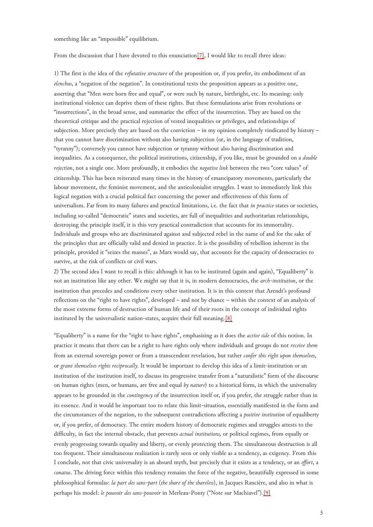something like an "impossible" equilibrium.

<span id="page-4-0"></span>From the discussion that I have devoted to this enunciation<sup>[7]</sup>, I would like to recall three ideas:

1) The first is the idea of the *refutative structure* of the proposition or, if you prefer, its embodiment of an *elenchus*, a "negation of the negation". In constitutional texts the proposition appears as a positive one, asserting that "Men were born free and equal", or were such by nature, birthright, etc. Its meaning: only institutional violence can deprive them of these rights. But these formulations arise from revolutions or "insurrections", in the broad sense, and summarize the effect of the insurrection. They are based on the theoretical critique and the practical rejection of vested inequalities or privileges, and relationships of subjection. More precisely they are based on the conviction – in my opinion completely vindicated by history – that you cannot have discrimination without also having subjection (or, in the language of tradition, "tyranny"); conversely you cannot have subjection or tyranny without also having discrimination and inequalities. As a consequence, the political institutions, citizenship, if you like, must be grounded on a *double rejection*, not a single one. More profoundly, it embodies the *negative link* between the two "core values" of citizenship. This has been reiterated many times in the history of emancipatory movements, particularly the labour movement, the feminist movement, and the anticolonialist struggles. I want to immediately link this logical negation with a crucial political fact concerning the power and effectiveness of this form of universalism. Far from its many failures and practical limitations, i.e. the fact that *in practice* states or societies, including so-called "democratic" states and societies, are full of inequalities and authoritarian relationships, destroying the principle itself, it is this very practical contradiction that accounts for its immortality. Individuals and groups who are discriminated against and subjected rebel in the name of and for the sake of the principles that are officially valid and denied in practice. It is the possibility of rebellion inherent in the principle, provided it "seizes the masses", as Marx would say, that accounts for the capacity of democracies to survive, at the risk of conflicts or civil wars.

<span id="page-4-1"></span>2) The second idea I want to recall is this: although it has to be instituted (again and again), "Equaliberty" is not an institution like any other. We might say that it is, in modern democracies, the *arch-institution*, or the institution that precedes and conditions every other institution. It is in this context that Arendt's profound reflections on the "right to have rights", developed – and not by chance – within the context of an analysis of the most extreme forms of destruction of human life and of their roots in the concept of individual rights instituted by the universalistic nation-states, acquire their full meaning.[\[8\]](#page-6-6)

<span id="page-4-2"></span>"Equaliberty" is a name for the "right to have rights", emphasizing as it does the *active side* of this notion. In practice it means that there can be a right to have rights only where individuals and groups do not *receive them* from an external sovereign power or from a transcendent revelation, but rather *confer this right upon themselves*, or *grant themselves rights reciprocally*. It would be important to develop this idea of a limit-institution or an institution of the institution itself, to discuss its progressive transfer from a "naturalistic" form of the discourse on human rights (men, or humans, are free and equal *by nature*) to a historical form, in which the universality appears to be grounded in the *contingency* of the insurrection itself or, if you prefer, the struggle rather than in its essence. And it would be important too to relate this limit-situation, essentially manifested in the form and the circumstances of the negation, to the subsequent contradictions affecting a *positive institution* of equaliberty or, if you prefer, of democracy. The entire modern history of democratic regimes and struggles attests to the difficulty, in fact the internal obstacle, that prevents *actual institutions,* or political regimes, from equally or evenly progressing towards equality and liberty, or evenly protecting them. The simultaneous destruction is all too frequent. Their simultaneous realization is rarely seen or only visible as a tendency, as exigency. From this I conclude, not that civic universality is an absurd myth, but precisely that it exists as a tendency, or an *effort*, a *conatus*. The driving force within this tendency remains the force of the negative, beautifully expressed in some philosophical formulas: *la part des sans-part* (*the share of the shareless*), in Jacques Rancière, and also in what is perhaps his model: *le pouvoir des sans-pouvoir* in Merleau-Ponty ("Note sur Machiavel").[\[9\]](#page-6-7)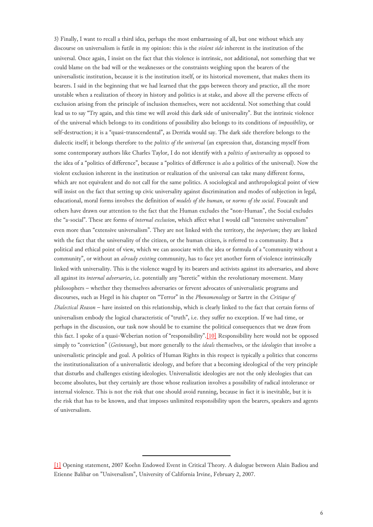<span id="page-5-1"></span>3) Finally, I want to recall a third idea, perhaps the most embarrassing of all, but one without which any discourse on universalism is futile in my opinion: this is the *violent side* inherent in the institution of the universal. Once again, I insist on the fact that this violence is intrinsic, not additional, not something that we could blame on the bad will or the weaknesses or the constraints weighing upon the bearers of the universalistic institution, because it is the institution itself, or its historical movement, that makes them its bearers. I said in the beginning that we had learned that the gaps between theory and practice, all the more unstable when a realization of theory in history and politics is at stake, and above all the perverse effects of exclusion arising from the principle of inclusion themselves, were not accidental. Not something that could lead us to say "Try again, and this time we will avoid this dark side of universality". But the intrinsic violence of the universal which belongs to its conditions of possibility also belongs to its conditions of *impossibility*, or self-destruction; it is a "quasi-transcendental", as Derrida would say. The dark side therefore belongs to the dialectic itself; it belongs therefore to the *politics of the universal* (an expression that, distancing myself from some contemporary authors like Charles Taylor, I do not identify with a *politics of universality* as opposed to the idea of a "politics of difference", because a "politics of difference is *also* a politics of the universal). Now the violent exclusion inherent in the institution or realization of the universal can take many different forms, which are not equivalent and do not call for the same politics. A sociological and anthropological point of view will insist on the fact that setting up civic universality against discrimination and modes of subjection in legal, educational, moral forms involves the definition of *models of the human*, or *norms of the social*. Foucault and others have drawn our attention to the fact that the Human excludes the "non-Human", the Social excludes the "a-social". These are forms of *internal exclusion*, which affect what I would call "intensive universalism" even more than "extensive universalism". They are not linked with the territory, the *imperium*; they are linked with the fact that the universality of the citizen, or the human citizen, is referred to a community. But a political and ethical point of view, which we can associate with the idea or formula of a "community without a community", or without an *already existing* community, has to face yet another form of violence intrinsically linked with universality. This is the violence waged by its bearers and activists against its adversaries, and above all against its *internal adversaries*, i.e. potentially any "heretic" within the revolutionary movement. Many philosophers – whether they themselves adversaries or fervent advocates of universalistic programs and discourses, such as Hegel in his chapter on "Terror" in the *Phenomenology* or Sartre in the *Critique of Dialectical Reason* – have insisted on this relationship, which is clearly linked to the fact that certain forms of universalism embody the logical characteristic of "truth", i.e. they suffer no exception. If we had time, or perhaps in the discussion, our task now should be to examine the political consequences that we draw from this fact. I spoke of a quasi-Weberian notion of "responsibility".[\[10\]](#page-6-8) Responsibility here would not be opposed simply to "conviction" (*Gesinnung*), but more generally to the *ideals* themselves, or the *ideologies* that involve a universalistic principle and goal. A politics of Human Rights in this respect is typically a politics that concerns the institutionalization of a universalistic ideology, and before that a becoming ideological of the very principle that disturbs and challenges existing ideologies. Universalistic ideologies are not the only ideologies that can become absolutes, but they certainly are those whose realization involves a possibility of radical intolerance or internal violence. This is not the risk that one should avoid running, because in fact it is inevitable, but it is the risk that has to be known, and that imposes unlimited responsibility upon the bearers, speakers and agents of universalism.

<span id="page-5-0"></span>[<sup>\[1\]</sup>](#page-0-0) Opening statement, 2007 Koehn Endowed Event in Critical Theory. A dialogue between Alain Badiou and Etienne Balibar on "Universalism", University of California Irvine, February 2, 2007.